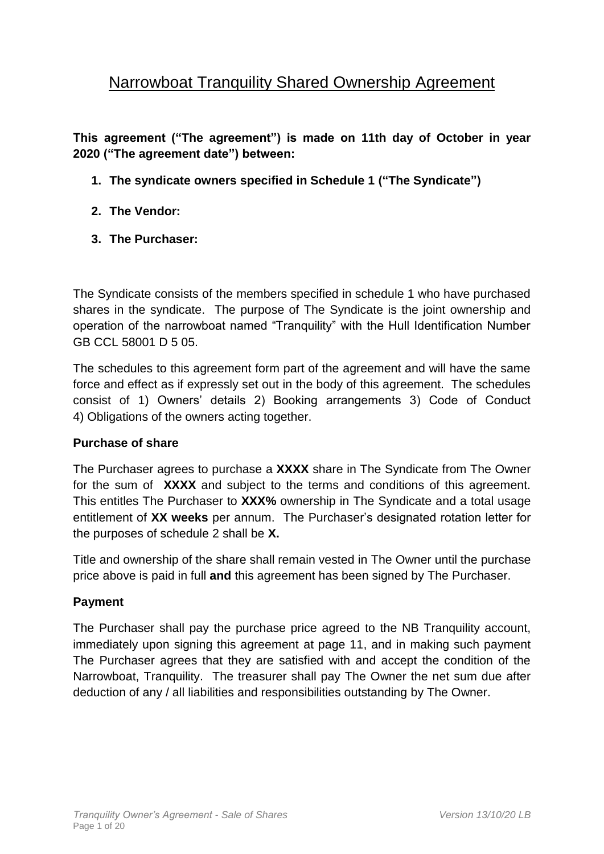# Narrowboat Tranquility Shared Ownership Agreement

**This agreement ("The agreement") is made on 11th day of October in year 2020 ("The agreement date") between:**

- **1. The syndicate owners specified in Schedule 1 ("The Syndicate")**
- **2. The Vendor:**
- **3. The Purchaser:**

The Syndicate consists of the members specified in schedule 1 who have purchased shares in the syndicate. The purpose of The Syndicate is the joint ownership and operation of the narrowboat named "Tranquility" with the Hull Identification Number GB CCL 58001 D 5 05.

The schedules to this agreement form part of the agreement and will have the same force and effect as if expressly set out in the body of this agreement. The schedules consist of 1) Owners' details 2) Booking arrangements 3) Code of Conduct 4) Obligations of the owners acting together.

#### **Purchase of share**

The Purchaser agrees to purchase a **XXXX** share in The Syndicate from The Owner for the sum of **XXXX** and subject to the terms and conditions of this agreement. This entitles The Purchaser to **XXX%** ownership in The Syndicate and a total usage entitlement of **XX weeks** per annum. The Purchaser's designated rotation letter for the purposes of schedule 2 shall be **X.**

Title and ownership of the share shall remain vested in The Owner until the purchase price above is paid in full **and** this agreement has been signed by The Purchaser.

# **Payment**

The Purchaser shall pay the purchase price agreed to the NB Tranquility account, immediately upon signing this agreement at page 11, and in making such payment The Purchaser agrees that they are satisfied with and accept the condition of the Narrowboat, Tranquility. The treasurer shall pay The Owner the net sum due after deduction of any / all liabilities and responsibilities outstanding by The Owner.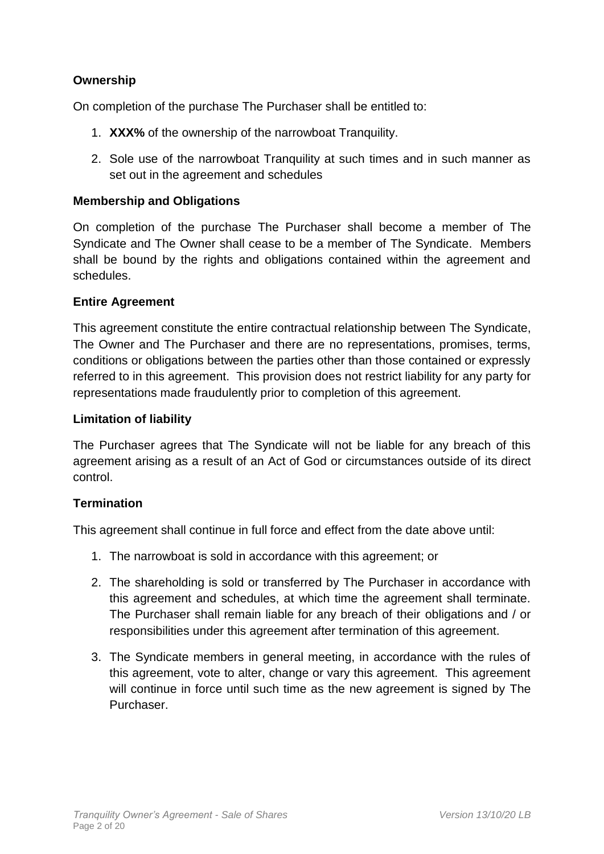# **Ownership**

On completion of the purchase The Purchaser shall be entitled to:

- 1. **XXX%** of the ownership of the narrowboat Tranquility.
- 2. Sole use of the narrowboat Tranquility at such times and in such manner as set out in the agreement and schedules

### **Membership and Obligations**

On completion of the purchase The Purchaser shall become a member of The Syndicate and The Owner shall cease to be a member of The Syndicate. Members shall be bound by the rights and obligations contained within the agreement and schedules.

#### **Entire Agreement**

This agreement constitute the entire contractual relationship between The Syndicate, The Owner and The Purchaser and there are no representations, promises, terms, conditions or obligations between the parties other than those contained or expressly referred to in this agreement. This provision does not restrict liability for any party for representations made fraudulently prior to completion of this agreement.

#### **Limitation of liability**

The Purchaser agrees that The Syndicate will not be liable for any breach of this agreement arising as a result of an Act of God or circumstances outside of its direct control.

#### **Termination**

This agreement shall continue in full force and effect from the date above until:

- 1. The narrowboat is sold in accordance with this agreement; or
- 2. The shareholding is sold or transferred by The Purchaser in accordance with this agreement and schedules, at which time the agreement shall terminate. The Purchaser shall remain liable for any breach of their obligations and / or responsibilities under this agreement after termination of this agreement.
- 3. The Syndicate members in general meeting, in accordance with the rules of this agreement, vote to alter, change or vary this agreement. This agreement will continue in force until such time as the new agreement is signed by The Purchaser.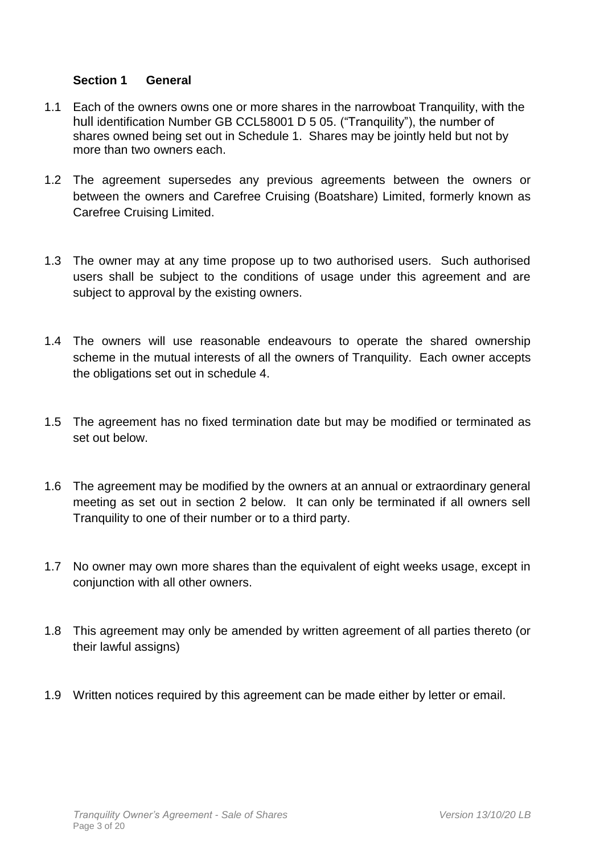## **Section 1 General**

- 1.1 Each of the owners owns one or more shares in the narrowboat Tranquility, with the hull identification Number GB CCL58001 D 5 05. ("Tranquility"), the number of shares owned being set out in Schedule 1. Shares may be jointly held but not by more than two owners each.
- 1.2 The agreement supersedes any previous agreements between the owners or between the owners and Carefree Cruising (Boatshare) Limited, formerly known as Carefree Cruising Limited.
- 1.3 The owner may at any time propose up to two authorised users. Such authorised users shall be subject to the conditions of usage under this agreement and are subject to approval by the existing owners.
- 1.4 The owners will use reasonable endeavours to operate the shared ownership scheme in the mutual interests of all the owners of Tranquility. Each owner accepts the obligations set out in schedule 4.
- 1.5 The agreement has no fixed termination date but may be modified or terminated as set out below.
- 1.6 The agreement may be modified by the owners at an annual or extraordinary general meeting as set out in section 2 below. It can only be terminated if all owners sell Tranquility to one of their number or to a third party.
- 1.7 No owner may own more shares than the equivalent of eight weeks usage, except in conjunction with all other owners.
- 1.8 This agreement may only be amended by written agreement of all parties thereto (or their lawful assigns)
- 1.9 Written notices required by this agreement can be made either by letter or email.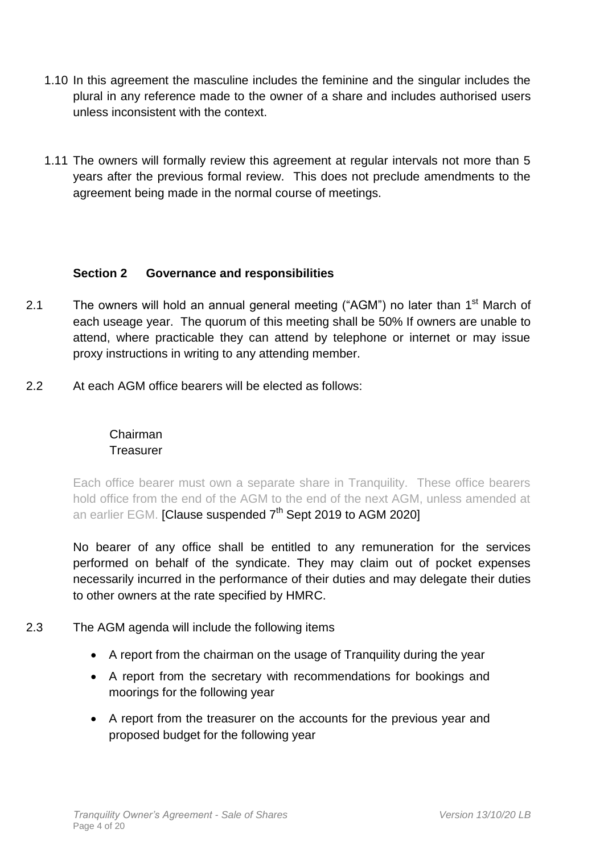- 1.10 In this agreement the masculine includes the feminine and the singular includes the plural in any reference made to the owner of a share and includes authorised users unless inconsistent with the context.
- 1.11 The owners will formally review this agreement at regular intervals not more than 5 years after the previous formal review. This does not preclude amendments to the agreement being made in the normal course of meetings.

## **Section 2 Governance and responsibilities**

- 2.1 The owners will hold an annual general meeting ("AGM") no later than 1<sup>st</sup> March of each useage year. The quorum of this meeting shall be 50% If owners are unable to attend, where practicable they can attend by telephone or internet or may issue proxy instructions in writing to any attending member.
- 2.2 At each AGM office bearers will be elected as follows:

## Chairman **Treasurer**

Each office bearer must own a separate share in Tranquility. These office bearers hold office from the end of the AGM to the end of the next AGM, unless amended at an earlier EGM. [Clause suspended  $7<sup>th</sup>$  Sept 2019 to AGM 2020]

No bearer of any office shall be entitled to any remuneration for the services performed on behalf of the syndicate. They may claim out of pocket expenses necessarily incurred in the performance of their duties and may delegate their duties to other owners at the rate specified by HMRC.

- 2.3 The AGM agenda will include the following items
	- A report from the chairman on the usage of Tranquility during the year
	- A report from the secretary with recommendations for bookings and moorings for the following year
	- A report from the treasurer on the accounts for the previous year and proposed budget for the following year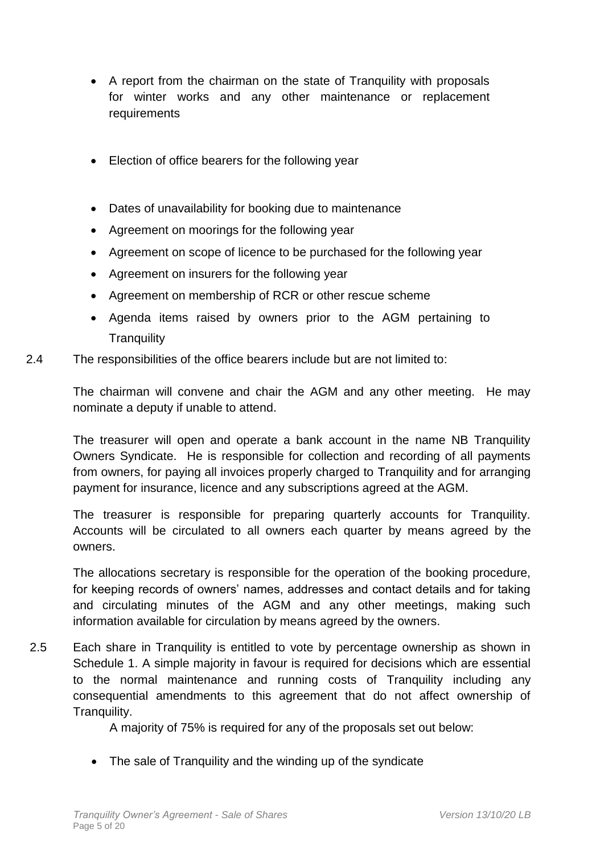- A report from the chairman on the state of Tranquility with proposals for winter works and any other maintenance or replacement requirements
- Election of office bearers for the following year
- Dates of unavailability for booking due to maintenance
- Agreement on moorings for the following year
- Agreement on scope of licence to be purchased for the following year
- Agreement on insurers for the following year
- Agreement on membership of RCR or other rescue scheme
- Agenda items raised by owners prior to the AGM pertaining to **Tranquility**
- 2.4 The responsibilities of the office bearers include but are not limited to:

The chairman will convene and chair the AGM and any other meeting. He may nominate a deputy if unable to attend.

The treasurer will open and operate a bank account in the name NB Tranquility Owners Syndicate. He is responsible for collection and recording of all payments from owners, for paying all invoices properly charged to Tranquility and for arranging payment for insurance, licence and any subscriptions agreed at the AGM.

The treasurer is responsible for preparing quarterly accounts for Tranquility. Accounts will be circulated to all owners each quarter by means agreed by the owners.

The allocations secretary is responsible for the operation of the booking procedure, for keeping records of owners' names, addresses and contact details and for taking and circulating minutes of the AGM and any other meetings, making such information available for circulation by means agreed by the owners.

2.5 Each share in Tranquility is entitled to vote by percentage ownership as shown in Schedule 1. A simple majority in favour is required for decisions which are essential to the normal maintenance and running costs of Tranquility including any consequential amendments to this agreement that do not affect ownership of Tranquility.

A majority of 75% is required for any of the proposals set out below:

• The sale of Tranquility and the winding up of the syndicate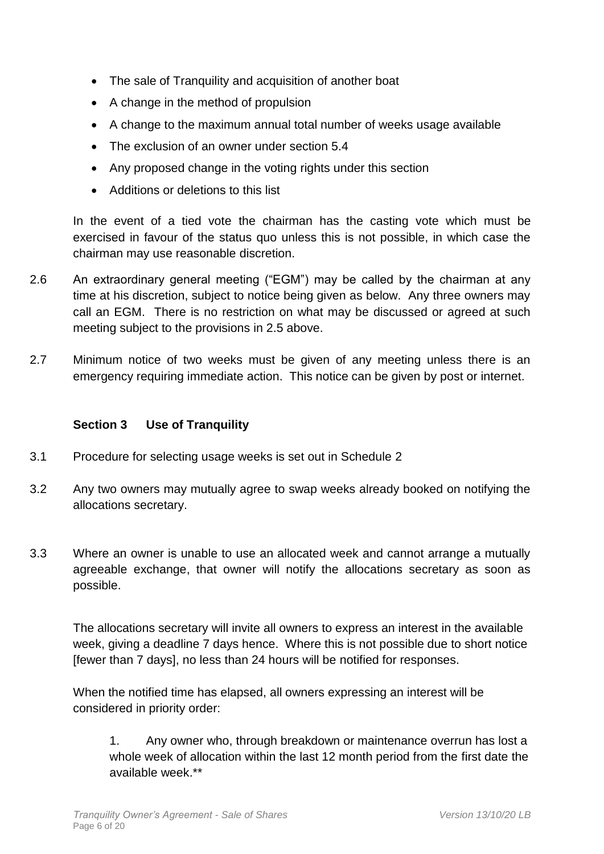- The sale of Tranquility and acquisition of another boat
- A change in the method of propulsion
- A change to the maximum annual total number of weeks usage available
- The exclusion of an owner under section 5.4
- Any proposed change in the voting rights under this section
- Additions or deletions to this list

In the event of a tied vote the chairman has the casting vote which must be exercised in favour of the status quo unless this is not possible, in which case the chairman may use reasonable discretion.

- 2.6 An extraordinary general meeting ("EGM") may be called by the chairman at any time at his discretion, subject to notice being given as below. Any three owners may call an EGM. There is no restriction on what may be discussed or agreed at such meeting subject to the provisions in 2.5 above.
- 2.7 Minimum notice of two weeks must be given of any meeting unless there is an emergency requiring immediate action. This notice can be given by post or internet.

# **Section 3 Use of Tranquility**

- 3.1 Procedure for selecting usage weeks is set out in Schedule 2
- 3.2 Any two owners may mutually agree to swap weeks already booked on notifying the allocations secretary.
- 3.3 Where an owner is unable to use an allocated week and cannot arrange a mutually agreeable exchange, that owner will notify the allocations secretary as soon as possible.

The allocations secretary will invite all owners to express an interest in the available week, giving a deadline 7 days hence. Where this is not possible due to short notice [fewer than 7 days], no less than 24 hours will be notified for responses.

When the notified time has elapsed, all owners expressing an interest will be considered in priority order:

1. Any owner who, through breakdown or maintenance overrun has lost a whole week of allocation within the last 12 month period from the first date the available week.\*\*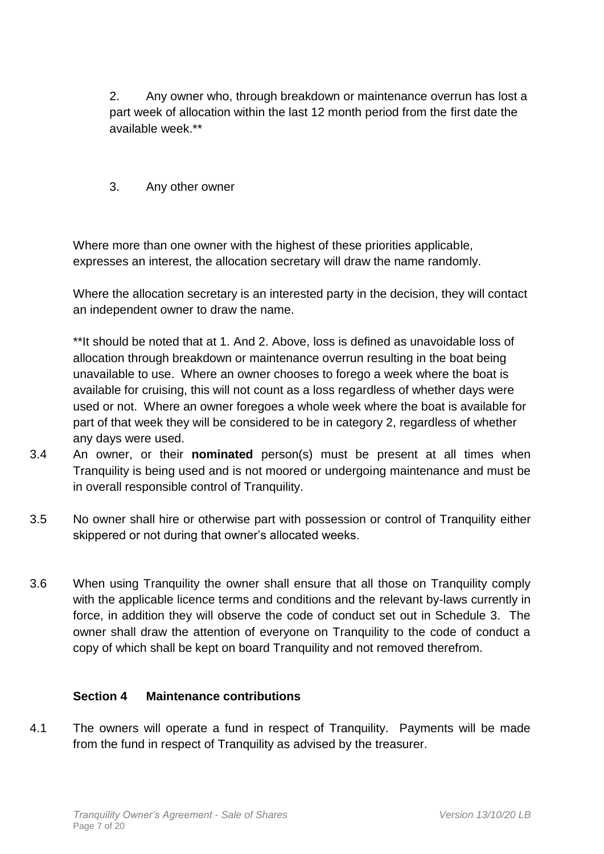2. Any owner who, through breakdown or maintenance overrun has lost a part week of allocation within the last 12 month period from the first date the available week.\*\*

3. Any other owner

Where more than one owner with the highest of these priorities applicable, expresses an interest, the allocation secretary will draw the name randomly.

Where the allocation secretary is an interested party in the decision, they will contact an independent owner to draw the name.

\*\*It should be noted that at 1. And 2. Above, loss is defined as unavoidable loss of allocation through breakdown or maintenance overrun resulting in the boat being unavailable to use. Where an owner chooses to forego a week where the boat is available for cruising, this will not count as a loss regardless of whether days were used or not. Where an owner foregoes a whole week where the boat is available for part of that week they will be considered to be in category 2, regardless of whether any days were used.

- 3.4 An owner, or their **nominated** person(s) must be present at all times when Tranquility is being used and is not moored or undergoing maintenance and must be in overall responsible control of Tranquility.
- 3.5 No owner shall hire or otherwise part with possession or control of Tranquility either skippered or not during that owner's allocated weeks.
- 3.6 When using Tranquility the owner shall ensure that all those on Tranquility comply with the applicable licence terms and conditions and the relevant by-laws currently in force, in addition they will observe the code of conduct set out in Schedule 3. The owner shall draw the attention of everyone on Tranquility to the code of conduct a copy of which shall be kept on board Tranquility and not removed therefrom.

#### **Section 4 Maintenance contributions**

4.1 The owners will operate a fund in respect of Tranquility. Payments will be made from the fund in respect of Tranquility as advised by the treasurer.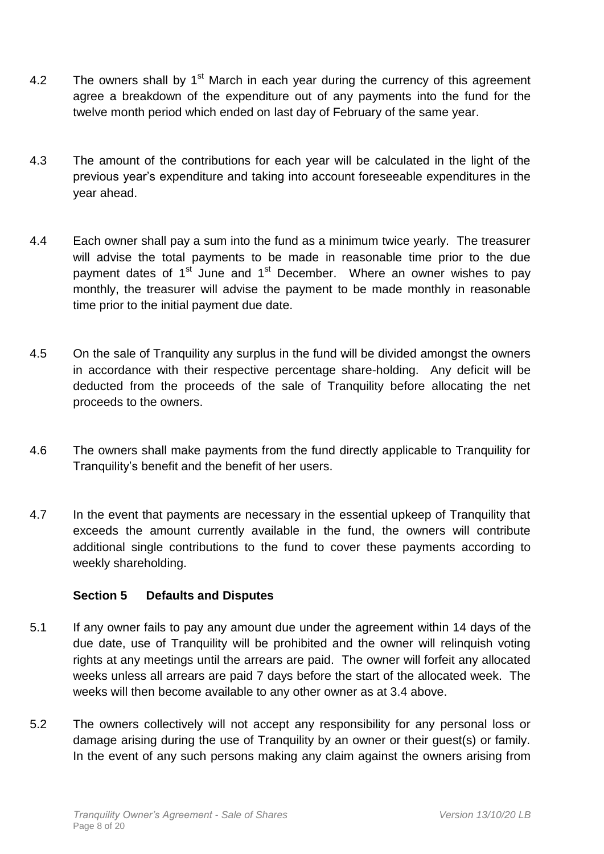- 4.2 The owners shall by  $1<sup>st</sup>$  March in each year during the currency of this agreement agree a breakdown of the expenditure out of any payments into the fund for the twelve month period which ended on last day of February of the same year.
- 4.3 The amount of the contributions for each year will be calculated in the light of the previous year's expenditure and taking into account foreseeable expenditures in the year ahead.
- 4.4 Each owner shall pay a sum into the fund as a minimum twice yearly. The treasurer will advise the total payments to be made in reasonable time prior to the due payment dates of 1<sup>st</sup> June and 1<sup>st</sup> December. Where an owner wishes to pay monthly, the treasurer will advise the payment to be made monthly in reasonable time prior to the initial payment due date.
- 4.5 On the sale of Tranquility any surplus in the fund will be divided amongst the owners in accordance with their respective percentage share-holding. Any deficit will be deducted from the proceeds of the sale of Tranquility before allocating the net proceeds to the owners.
- 4.6 The owners shall make payments from the fund directly applicable to Tranquility for Tranquility's benefit and the benefit of her users.
- 4.7 In the event that payments are necessary in the essential upkeep of Tranquility that exceeds the amount currently available in the fund, the owners will contribute additional single contributions to the fund to cover these payments according to weekly shareholding.

#### **Section 5 Defaults and Disputes**

- 5.1 If any owner fails to pay any amount due under the agreement within 14 days of the due date, use of Tranquility will be prohibited and the owner will relinquish voting rights at any meetings until the arrears are paid. The owner will forfeit any allocated weeks unless all arrears are paid 7 days before the start of the allocated week. The weeks will then become available to any other owner as at 3.4 above.
- 5.2 The owners collectively will not accept any responsibility for any personal loss or damage arising during the use of Tranquility by an owner or their guest(s) or family. In the event of any such persons making any claim against the owners arising from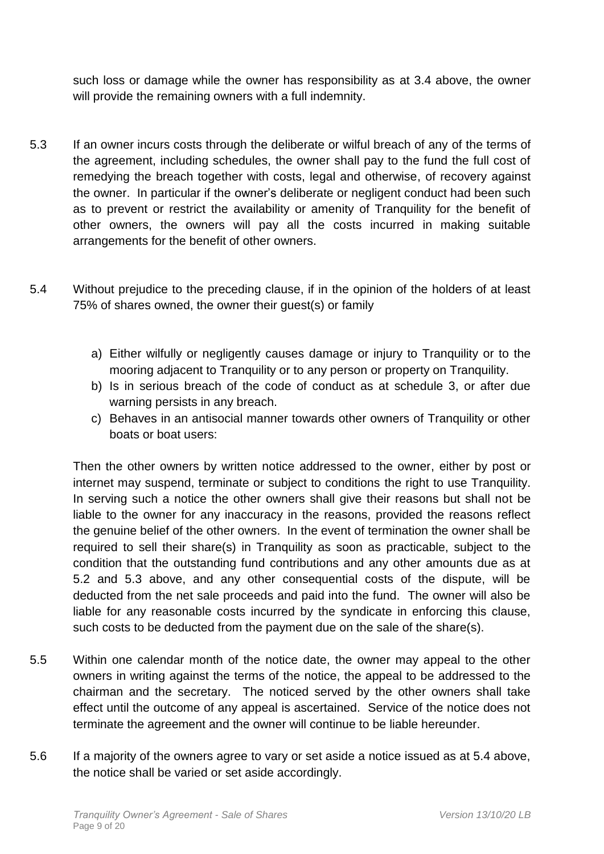such loss or damage while the owner has responsibility as at 3.4 above, the owner will provide the remaining owners with a full indemnity.

- 5.3 If an owner incurs costs through the deliberate or wilful breach of any of the terms of the agreement, including schedules, the owner shall pay to the fund the full cost of remedying the breach together with costs, legal and otherwise, of recovery against the owner. In particular if the owner's deliberate or negligent conduct had been such as to prevent or restrict the availability or amenity of Tranquility for the benefit of other owners, the owners will pay all the costs incurred in making suitable arrangements for the benefit of other owners.
- 5.4 Without prejudice to the preceding clause, if in the opinion of the holders of at least 75% of shares owned, the owner their guest(s) or family
	- a) Either wilfully or negligently causes damage or injury to Tranquility or to the mooring adjacent to Tranquility or to any person or property on Tranquility.
	- b) Is in serious breach of the code of conduct as at schedule 3, or after due warning persists in any breach.
	- c) Behaves in an antisocial manner towards other owners of Tranquility or other boats or boat users:

Then the other owners by written notice addressed to the owner, either by post or internet may suspend, terminate or subject to conditions the right to use Tranquility. In serving such a notice the other owners shall give their reasons but shall not be liable to the owner for any inaccuracy in the reasons, provided the reasons reflect the genuine belief of the other owners. In the event of termination the owner shall be required to sell their share(s) in Tranquility as soon as practicable, subject to the condition that the outstanding fund contributions and any other amounts due as at 5.2 and 5.3 above, and any other consequential costs of the dispute, will be deducted from the net sale proceeds and paid into the fund. The owner will also be liable for any reasonable costs incurred by the syndicate in enforcing this clause, such costs to be deducted from the payment due on the sale of the share(s).

- 5.5 Within one calendar month of the notice date, the owner may appeal to the other owners in writing against the terms of the notice, the appeal to be addressed to the chairman and the secretary. The noticed served by the other owners shall take effect until the outcome of any appeal is ascertained. Service of the notice does not terminate the agreement and the owner will continue to be liable hereunder.
- 5.6 If a majority of the owners agree to vary or set aside a notice issued as at 5.4 above, the notice shall be varied or set aside accordingly.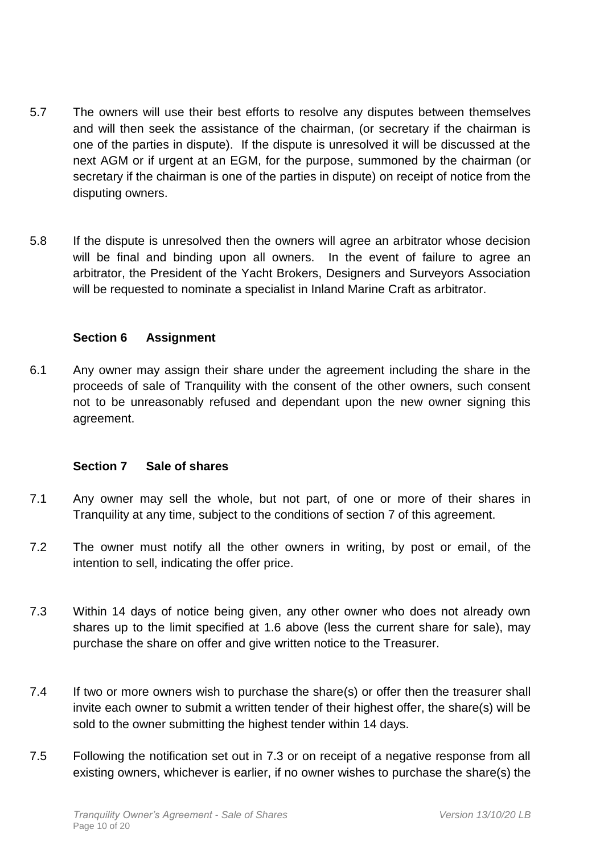- 5.7 The owners will use their best efforts to resolve any disputes between themselves and will then seek the assistance of the chairman, (or secretary if the chairman is one of the parties in dispute). If the dispute is unresolved it will be discussed at the next AGM or if urgent at an EGM, for the purpose, summoned by the chairman (or secretary if the chairman is one of the parties in dispute) on receipt of notice from the disputing owners.
- 5.8 If the dispute is unresolved then the owners will agree an arbitrator whose decision will be final and binding upon all owners. In the event of failure to agree an arbitrator, the President of the Yacht Brokers, Designers and Surveyors Association will be requested to nominate a specialist in Inland Marine Craft as arbitrator.

#### **Section 6 Assignment**

6.1 Any owner may assign their share under the agreement including the share in the proceeds of sale of Tranquility with the consent of the other owners, such consent not to be unreasonably refused and dependant upon the new owner signing this agreement.

#### **Section 7 Sale of shares**

- 7.1 Any owner may sell the whole, but not part, of one or more of their shares in Tranquility at any time, subject to the conditions of section 7 of this agreement.
- 7.2 The owner must notify all the other owners in writing, by post or email, of the intention to sell, indicating the offer price.
- 7.3 Within 14 days of notice being given, any other owner who does not already own shares up to the limit specified at 1.6 above (less the current share for sale), may purchase the share on offer and give written notice to the Treasurer.
- 7.4 If two or more owners wish to purchase the share(s) or offer then the treasurer shall invite each owner to submit a written tender of their highest offer, the share(s) will be sold to the owner submitting the highest tender within 14 days.
- 7.5 Following the notification set out in 7.3 or on receipt of a negative response from all existing owners, whichever is earlier, if no owner wishes to purchase the share(s) the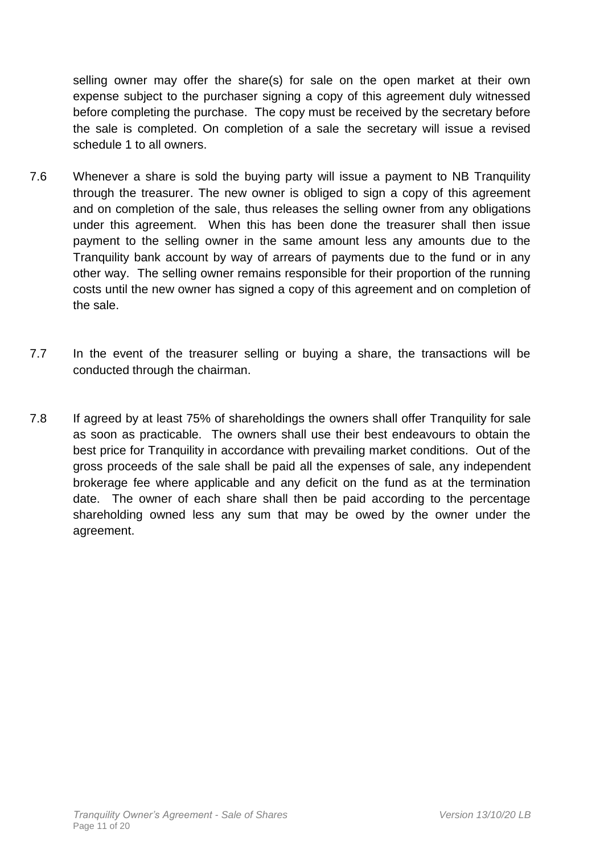selling owner may offer the share(s) for sale on the open market at their own expense subject to the purchaser signing a copy of this agreement duly witnessed before completing the purchase. The copy must be received by the secretary before the sale is completed. On completion of a sale the secretary will issue a revised schedule 1 to all owners.

- 7.6 Whenever a share is sold the buying party will issue a payment to NB Tranquility through the treasurer. The new owner is obliged to sign a copy of this agreement and on completion of the sale, thus releases the selling owner from any obligations under this agreement. When this has been done the treasurer shall then issue payment to the selling owner in the same amount less any amounts due to the Tranquility bank account by way of arrears of payments due to the fund or in any other way. The selling owner remains responsible for their proportion of the running costs until the new owner has signed a copy of this agreement and on completion of the sale.
- 7.7 In the event of the treasurer selling or buying a share, the transactions will be conducted through the chairman.
- 7.8 If agreed by at least 75% of shareholdings the owners shall offer Tranquility for sale as soon as practicable. The owners shall use their best endeavours to obtain the best price for Tranquility in accordance with prevailing market conditions. Out of the gross proceeds of the sale shall be paid all the expenses of sale, any independent brokerage fee where applicable and any deficit on the fund as at the termination date. The owner of each share shall then be paid according to the percentage shareholding owned less any sum that may be owed by the owner under the agreement.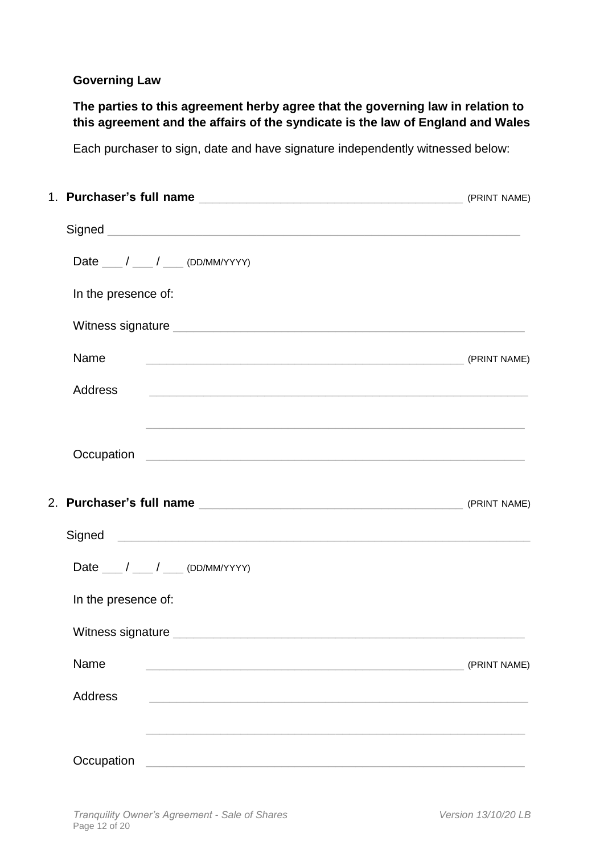## **Governing Law**

**The parties to this agreement herby agree that the governing law in relation to this agreement and the affairs of the syndicate is the law of England and Wales**

Each purchaser to sign, date and have signature independently witnessed below:

|  | Date $\frac{1}{\sqrt{2}}$ / $\frac{1}{\sqrt{2}}$ (DD/MM/YYYY)       |              |
|--|---------------------------------------------------------------------|--------------|
|  | In the presence of:                                                 |              |
|  |                                                                     |              |
|  | Name                                                                |              |
|  | <b>Address</b>                                                      |              |
|  |                                                                     |              |
|  |                                                                     |              |
|  |                                                                     |              |
|  | Date $\frac{1}{\sqrt{2\pi}}$ / $\frac{1}{\sqrt{2\pi}}$ (DD/MM/YYYY) |              |
|  | In the presence of:                                                 |              |
|  |                                                                     |              |
|  | Name                                                                | (PRINT NAME) |
|  | <b>Address</b>                                                      |              |
|  |                                                                     |              |
|  | Occupation                                                          |              |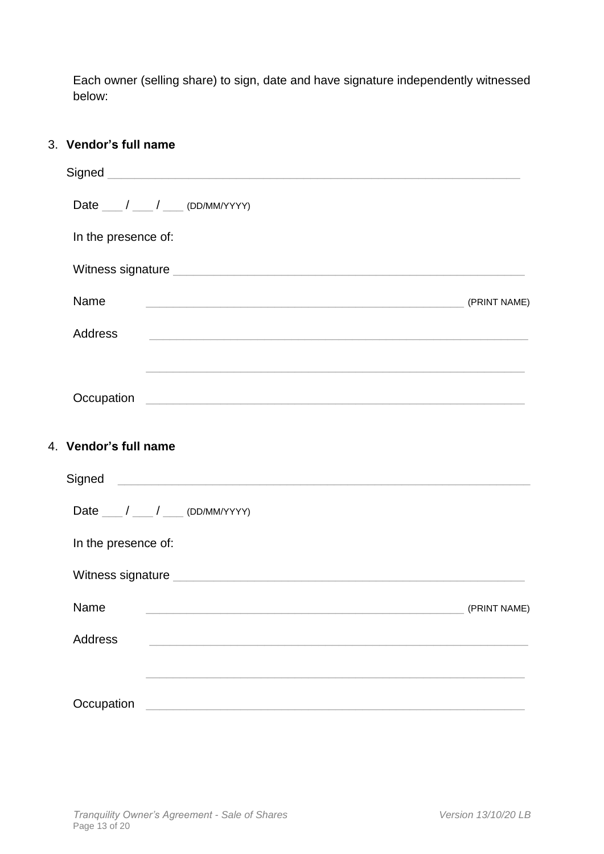Each owner (selling share) to sign, date and have signature independently witnessed below:

### 3. **Vendor's full name**

| Date $\frac{1}{\sqrt{2}}$ / $\frac{1}{\sqrt{2}}$ (DD/MM/YYYY)                                                                           |              |  |  |  |  |  |  |
|-----------------------------------------------------------------------------------------------------------------------------------------|--------------|--|--|--|--|--|--|
| In the presence of:                                                                                                                     |              |  |  |  |  |  |  |
|                                                                                                                                         |              |  |  |  |  |  |  |
| Name                                                                                                                                    |              |  |  |  |  |  |  |
| <b>Address</b><br><u> 1989 - Johann John Stone, mensk politik en oantal fan de ferske fan de ferske fan de ferske fan de ferske fan</u> |              |  |  |  |  |  |  |
|                                                                                                                                         |              |  |  |  |  |  |  |
|                                                                                                                                         |              |  |  |  |  |  |  |
| 4. Vendor's full name                                                                                                                   |              |  |  |  |  |  |  |
|                                                                                                                                         |              |  |  |  |  |  |  |
| Date $\frac{1}{\sqrt{2\pi}}$ / $\frac{1}{\sqrt{2\pi}}$ (DD/MM/YYYY)                                                                     |              |  |  |  |  |  |  |
| In the presence of:                                                                                                                     |              |  |  |  |  |  |  |
|                                                                                                                                         |              |  |  |  |  |  |  |
| Name                                                                                                                                    | (PRINT NAME) |  |  |  |  |  |  |
| <b>Address</b>                                                                                                                          |              |  |  |  |  |  |  |
|                                                                                                                                         |              |  |  |  |  |  |  |
| Occupation                                                                                                                              |              |  |  |  |  |  |  |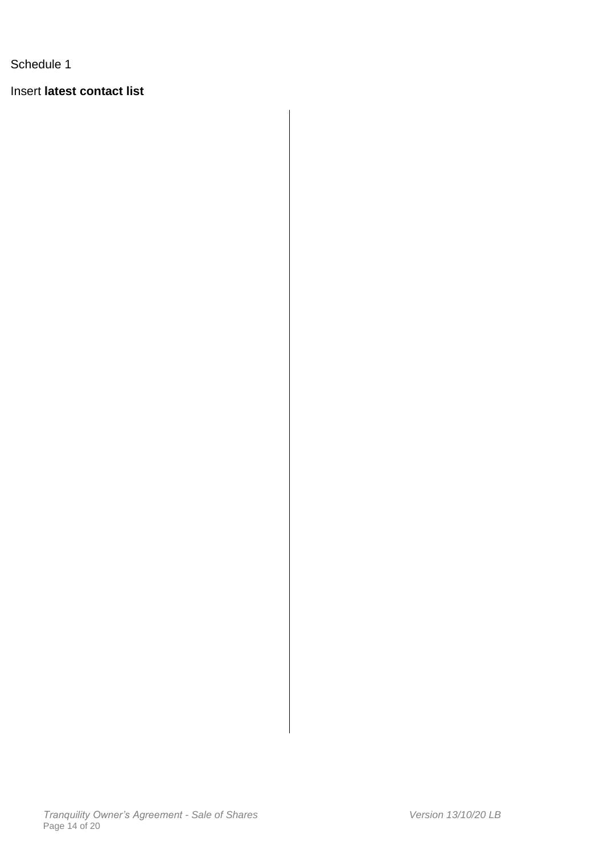Insert **latest contact list**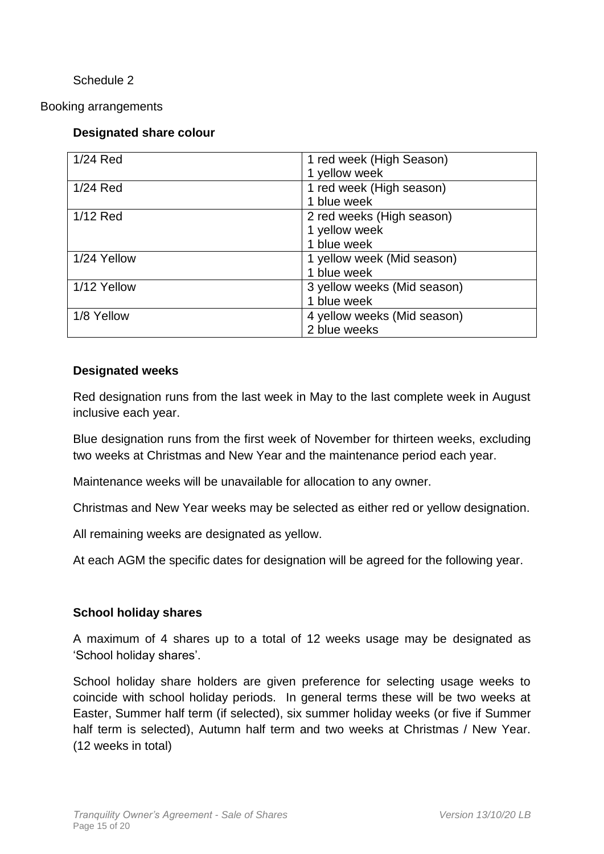Booking arrangements

# **Designated share colour**

| $1/24$ Red  | 1 red week (High Season)    |
|-------------|-----------------------------|
|             | 1 yellow week               |
| 1/24 Red    | 1 red week (High season)    |
|             | 1 blue week                 |
| 1/12 Red    | 2 red weeks (High season)   |
|             | 1 yellow week               |
|             | 1 blue week                 |
| 1/24 Yellow | 1 yellow week (Mid season)  |
|             | 1 blue week                 |
| 1/12 Yellow | 3 yellow weeks (Mid season) |
|             | 1 blue week                 |
| 1/8 Yellow  | 4 yellow weeks (Mid season) |
|             | 2 blue weeks                |

#### **Designated weeks**

Red designation runs from the last week in May to the last complete week in August inclusive each year.

Blue designation runs from the first week of November for thirteen weeks, excluding two weeks at Christmas and New Year and the maintenance period each year.

Maintenance weeks will be unavailable for allocation to any owner.

Christmas and New Year weeks may be selected as either red or yellow designation.

All remaining weeks are designated as yellow.

At each AGM the specific dates for designation will be agreed for the following year.

#### **School holiday shares**

A maximum of 4 shares up to a total of 12 weeks usage may be designated as 'School holiday shares'.

School holiday share holders are given preference for selecting usage weeks to coincide with school holiday periods. In general terms these will be two weeks at Easter, Summer half term (if selected), six summer holiday weeks (or five if Summer half term is selected), Autumn half term and two weeks at Christmas / New Year. (12 weeks in total)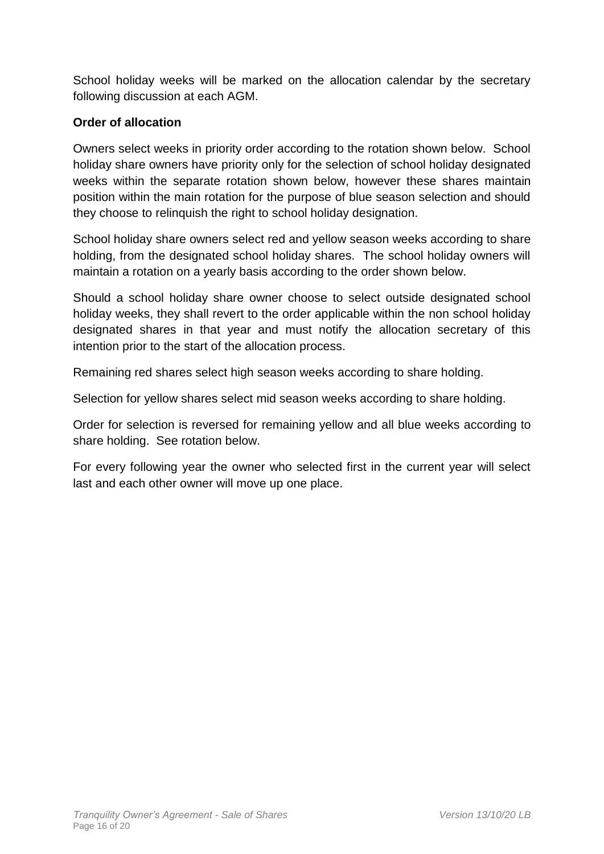School holiday weeks will be marked on the allocation calendar by the secretary following discussion at each AGM.

# **Order of allocation**

Owners select weeks in priority order according to the rotation shown below. School holiday share owners have priority only for the selection of school holiday designated weeks within the separate rotation shown below, however these shares maintain position within the main rotation for the purpose of blue season selection and should they choose to relinquish the right to school holiday designation.

School holiday share owners select red and yellow season weeks according to share holding, from the designated school holiday shares. The school holiday owners will maintain a rotation on a yearly basis according to the order shown below.

Should a school holiday share owner choose to select outside designated school holiday weeks, they shall revert to the order applicable within the non school holiday designated shares in that year and must notify the allocation secretary of this intention prior to the start of the allocation process.

Remaining red shares select high season weeks according to share holding.

Selection for yellow shares select mid season weeks according to share holding.

Order for selection is reversed for remaining yellow and all blue weeks according to share holding. See rotation below.

For every following year the owner who selected first in the current year will select last and each other owner will move up one place.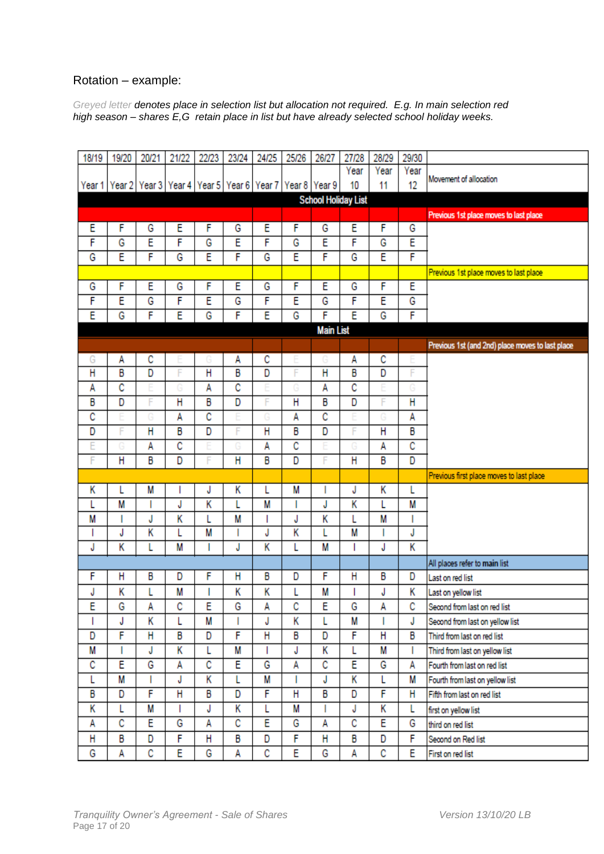## Rotation – example:

*Greyed letter denotes place in selection list but allocation not required. E.g. In main selection red high season – shares E,G retain place in list but have already selected school holiday weeks.*

| 18/19            | 19/20          | 20/21          | 21/22 | 22/23          | 23/24 | 24/25                                                                 | 25/26                   | 26/27          | 27/28                      | 28/29          | 29/30                                  |                                                  |
|------------------|----------------|----------------|-------|----------------|-------|-----------------------------------------------------------------------|-------------------------|----------------|----------------------------|----------------|----------------------------------------|--------------------------------------------------|
|                  |                |                |       |                |       |                                                                       |                         |                | Year                       | Year           | Year                                   |                                                  |
| Year 1           |                |                |       |                |       | Year 2   Year 3   Year 4   Year 5   Year 6   Year 7   Year 8   Year 9 |                         |                | 10                         | 11             | 12                                     | Movement of allocation                           |
|                  |                |                |       |                |       |                                                                       |                         |                | <b>School Holiday List</b> |                |                                        |                                                  |
|                  |                |                |       |                |       |                                                                       |                         |                |                            |                | Previous 1st place moves to last place |                                                  |
| Ε                | F              | G              | E     | F              | G     | E                                                                     | F                       | G              | Έ                          | F              | G                                      |                                                  |
| F                | G              | E              | F     | G              | E     | F                                                                     | G                       | E              | F                          | G              | Ε                                      |                                                  |
| G                | Ē              | F              | G     | E              | F     | G                                                                     | E                       | F              | G                          | E              | F                                      |                                                  |
|                  |                |                |       |                |       |                                                                       |                         |                |                            |                |                                        | Previous 1st place moves to last place           |
| G                | F              | E              | G     | F              | Ε     | G                                                                     | F                       | E              | G                          | F              | Ε                                      |                                                  |
| F                | Ē              | G              | F     | E              | G     | F                                                                     | Ē                       | G              | F                          | E              | G                                      |                                                  |
| Ē                | G              | F              | Ē     | G              | F     | Ē                                                                     | G                       | F              | Ē                          | G              | F                                      |                                                  |
| <b>Main List</b> |                |                |       |                |       |                                                                       |                         |                |                            |                |                                        |                                                  |
|                  |                |                |       |                |       |                                                                       |                         |                |                            |                |                                        | Previous 1st (and 2nd) place moves to last place |
| G                | А              | c              |       |                | А     | $\overline{\mathbf{c}}$                                               |                         |                | Α                          | $\overline{c}$ |                                        |                                                  |
| H                | B              | $\overline{D}$ | F     | $\overline{H}$ | B     | D                                                                     | F                       | $\overline{H}$ | B                          | $\overline{D}$ | F                                      |                                                  |
| A                | C              |                |       | A              | c     |                                                                       |                         | A              | C                          |                |                                        |                                                  |
| В                | D              | F              | Η     | B              | D     | F                                                                     | $\overline{\mathsf{H}}$ | B              | D                          | F              | Η                                      |                                                  |
| C                |                |                | А     | c              |       |                                                                       | A                       | c              |                            |                | А                                      |                                                  |
| D                | F              | H              | B     | $\overline{D}$ | F     | Η                                                                     | B                       | D              | F                          | Η              | B                                      |                                                  |
| Ē                |                | A              | с     |                |       | А                                                                     | c                       |                |                            | А              | с                                      |                                                  |
| F                | $\overline{H}$ | В              | D     | F              | Η     | B                                                                     | D                       | F              | Η                          | B              | D                                      |                                                  |
|                  |                |                |       |                |       |                                                                       |                         |                |                            |                |                                        | Previous first place moves to last place         |
| Κ                | L              | M              |       | J              | Κ     | L                                                                     | M                       | I              | J                          | Κ              | L                                      |                                                  |
| L                | M              |                | J     | Κ              | L     | M                                                                     | I                       | J              | Κ                          | L              | M                                      |                                                  |
| M                | ı              | J              | K     | L              | M     | ı                                                                     | J                       | Κ              | L                          | M              | I                                      |                                                  |
| I                | J              | K              | L     | M              | I     | J                                                                     | K                       | L              | M                          |                | J                                      |                                                  |
| J                | Κ              | L              | M     | T              | J     | Κ                                                                     | L                       | M              | 1                          | J              | K                                      |                                                  |
|                  |                |                |       |                |       |                                                                       |                         |                |                            |                |                                        | All places refer to main list                    |
| F                | Η              | В              | D     | F              | Н     | В                                                                     | D                       | F              | Η                          | B              | D                                      | Last on red list                                 |
| J                | Κ              |                | М     | ı              | Κ     | Κ                                                                     | L                       | M              |                            | J              | Κ                                      | Last on yellow list                              |
| Ė                | G              | A              | C     | E              | G     | A                                                                     | C                       | E              | G                          | A              | C                                      | Second from last on red list                     |
| T                | J              | Κ              | L     | M              | Т     | J                                                                     | Κ                       | L              | М                          | L              | J                                      | Second from last on yellow list                  |
| D                | F              | Н              | B     | D              | F     | Η                                                                     | B                       | D              | F                          | H              | B                                      | Third from last on red list                      |
| M                | 1              | J              | Κ     | L              | M     | L                                                                     | J                       | Κ              | L                          | M              | L                                      | Third from last on yellow list                   |
| C                | E              | G              | A     | c              | Έ     | G                                                                     | А                       | C              | Έ                          | G              | A                                      | Fourth from last on red list                     |
| L                | M              |                | J     | Κ              | L     | М                                                                     | L                       | J              | Κ                          | L              | М                                      | Fourth from last on yellow list                  |
| B                | D              | F              | H     | В              | D     | F                                                                     | H                       | B              | D                          | F              | Н                                      | Fifth from last on red list                      |
| Κ                | L              | М              | T     | J              | Κ     | L                                                                     | M                       | I              | J                          | Κ              | L                                      | first on yellow list                             |
| А                | C              | Ε              | G     | Α              | С     | E                                                                     | G                       | A              | С                          | E              | G                                      | third on red list                                |
| Н                | B              | D              | F     | Η              | B     | D                                                                     | F                       | Η              | B                          | D              | F                                      | Second on Red list                               |
| G                | Α              | С              | E     | G              | А     | с                                                                     | E                       | G              | Α                          | С              | E                                      | First on red list                                |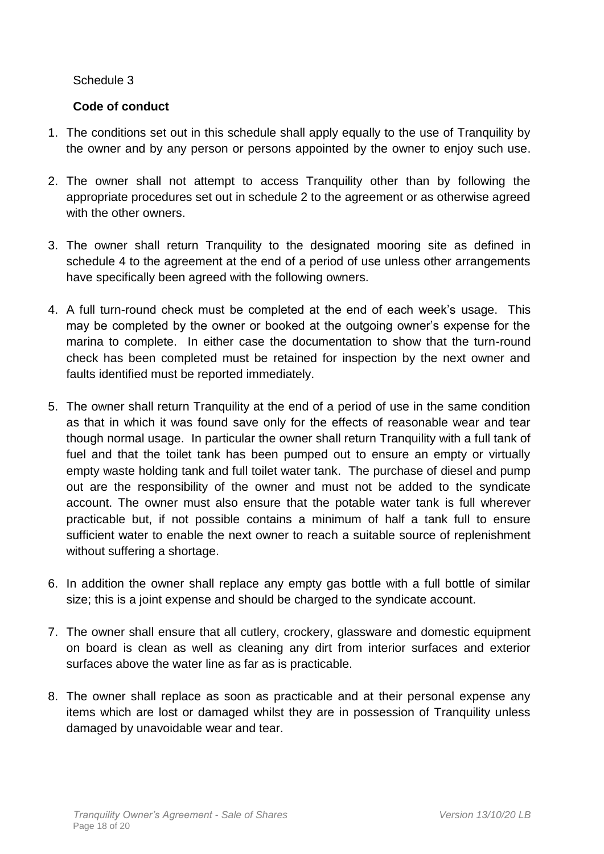# **Code of conduct**

- 1. The conditions set out in this schedule shall apply equally to the use of Tranquility by the owner and by any person or persons appointed by the owner to enjoy such use.
- 2. The owner shall not attempt to access Tranquility other than by following the appropriate procedures set out in schedule 2 to the agreement or as otherwise agreed with the other owners.
- 3. The owner shall return Tranquility to the designated mooring site as defined in schedule 4 to the agreement at the end of a period of use unless other arrangements have specifically been agreed with the following owners.
- 4. A full turn-round check must be completed at the end of each week's usage. This may be completed by the owner or booked at the outgoing owner's expense for the marina to complete. In either case the documentation to show that the turn-round check has been completed must be retained for inspection by the next owner and faults identified must be reported immediately.
- 5. The owner shall return Tranquility at the end of a period of use in the same condition as that in which it was found save only for the effects of reasonable wear and tear though normal usage. In particular the owner shall return Tranquility with a full tank of fuel and that the toilet tank has been pumped out to ensure an empty or virtually empty waste holding tank and full toilet water tank. The purchase of diesel and pump out are the responsibility of the owner and must not be added to the syndicate account. The owner must also ensure that the potable water tank is full wherever practicable but, if not possible contains a minimum of half a tank full to ensure sufficient water to enable the next owner to reach a suitable source of replenishment without suffering a shortage.
- 6. In addition the owner shall replace any empty gas bottle with a full bottle of similar size; this is a joint expense and should be charged to the syndicate account.
- 7. The owner shall ensure that all cutlery, crockery, glassware and domestic equipment on board is clean as well as cleaning any dirt from interior surfaces and exterior surfaces above the water line as far as is practicable.
- 8. The owner shall replace as soon as practicable and at their personal expense any items which are lost or damaged whilst they are in possession of Tranquility unless damaged by unavoidable wear and tear.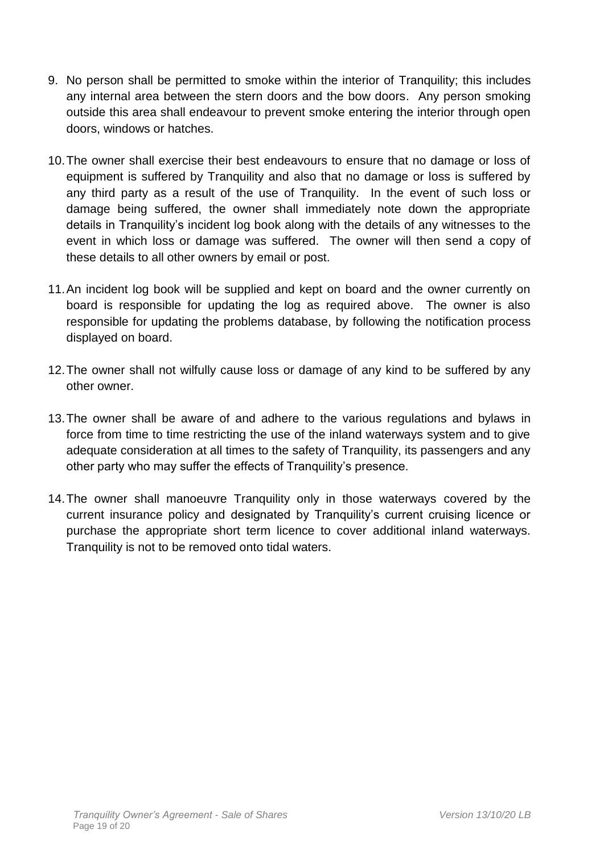- 9. No person shall be permitted to smoke within the interior of Tranquility; this includes any internal area between the stern doors and the bow doors. Any person smoking outside this area shall endeavour to prevent smoke entering the interior through open doors, windows or hatches.
- 10.The owner shall exercise their best endeavours to ensure that no damage or loss of equipment is suffered by Tranquility and also that no damage or loss is suffered by any third party as a result of the use of Tranquility. In the event of such loss or damage being suffered, the owner shall immediately note down the appropriate details in Tranquility's incident log book along with the details of any witnesses to the event in which loss or damage was suffered. The owner will then send a copy of these details to all other owners by email or post.
- 11.An incident log book will be supplied and kept on board and the owner currently on board is responsible for updating the log as required above. The owner is also responsible for updating the problems database, by following the notification process displayed on board.
- 12.The owner shall not wilfully cause loss or damage of any kind to be suffered by any other owner.
- 13.The owner shall be aware of and adhere to the various regulations and bylaws in force from time to time restricting the use of the inland waterways system and to give adequate consideration at all times to the safety of Tranquility, its passengers and any other party who may suffer the effects of Tranquility's presence.
- 14.The owner shall manoeuvre Tranquility only in those waterways covered by the current insurance policy and designated by Tranquility's current cruising licence or purchase the appropriate short term licence to cover additional inland waterways. Tranquility is not to be removed onto tidal waters.